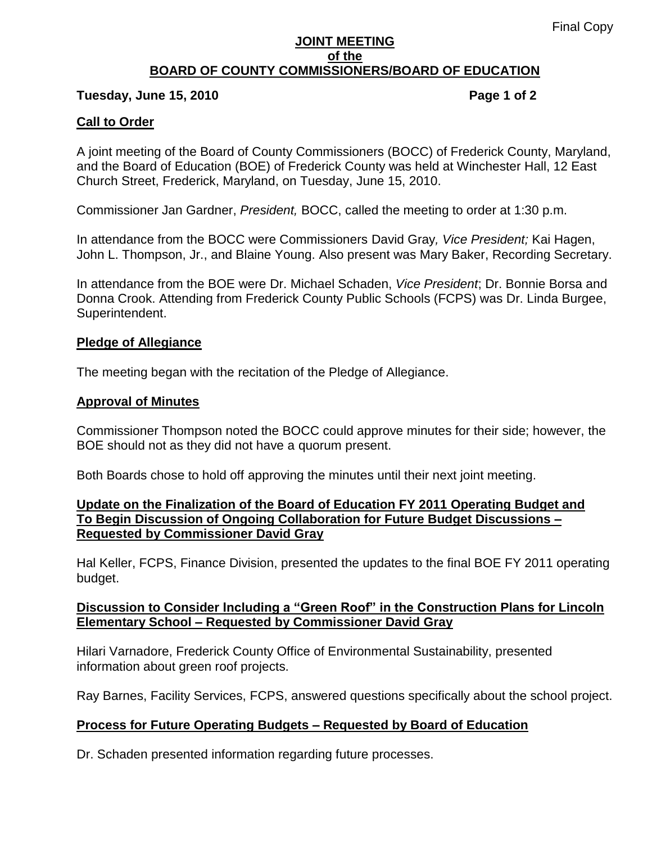### **JOINT MEETING of the BOARD OF COUNTY COMMISSIONERS/BOARD OF EDUCATION**

## **Tuesday, June 15, 2010 Page 1 of 2**

# **Call to Order**

A joint meeting of the Board of County Commissioners (BOCC) of Frederick County, Maryland, and the Board of Education (BOE) of Frederick County was held at Winchester Hall, 12 East Church Street, Frederick, Maryland, on Tuesday, June 15, 2010.

Commissioner Jan Gardner, *President,* BOCC, called the meeting to order at 1:30 p.m.

In attendance from the BOCC were Commissioners David Gray*, Vice President;* Kai Hagen, John L. Thompson, Jr., and Blaine Young. Also present was Mary Baker, Recording Secretary.

In attendance from the BOE were Dr. Michael Schaden, *Vice President*; Dr. Bonnie Borsa and Donna Crook. Attending from Frederick County Public Schools (FCPS) was Dr. Linda Burgee, Superintendent.

# **Pledge of Allegiance**

The meeting began with the recitation of the Pledge of Allegiance.

# **Approval of Minutes**

Commissioner Thompson noted the BOCC could approve minutes for their side; however, the BOE should not as they did not have a quorum present.

Both Boards chose to hold off approving the minutes until their next joint meeting.

# **Update on the Finalization of the Board of Education FY 2011 Operating Budget and To Begin Discussion of Ongoing Collaboration for Future Budget Discussions – Requested by Commissioner David Gray**

Hal Keller, FCPS, Finance Division, presented the updates to the final BOE FY 2011 operating budget.

# **Discussion to Consider Including a "Green Roof" in the Construction Plans for Lincoln Elementary School – Requested by Commissioner David Gray**

Hilari Varnadore, Frederick County Office of Environmental Sustainability, presented information about green roof projects.

Ray Barnes, Facility Services, FCPS, answered questions specifically about the school project.

# **Process for Future Operating Budgets – Requested by Board of Education**

Dr. Schaden presented information regarding future processes.